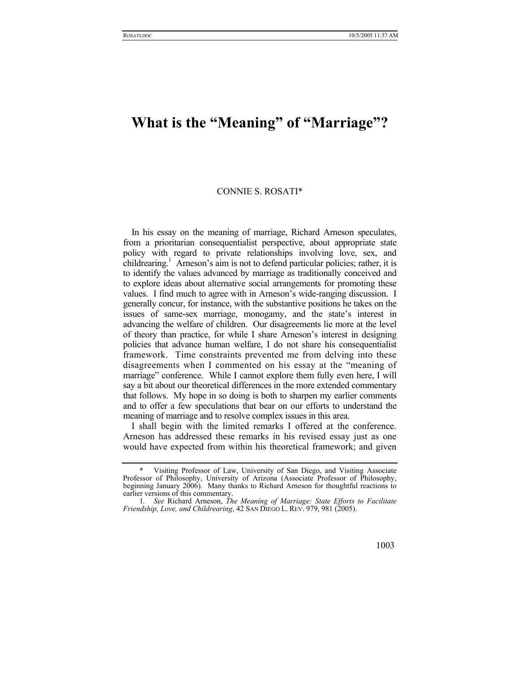# **What is the "Meaning" of "Marriage"?**

## CONNIE S. ROSAT[I\\*](#page-0-0)

In his essay on the meaning of marriage, Richard Arneson speculates, from a prioritarian consequentialist perspective, about appropriate state policy with regard to private relationships involving love, sex, and childrearing.<sup>1</sup> Arneson's aim is not to defend particular policies; rather, it is to identify the values advanced by marriage as traditionally conceived and to explore ideas about alternative social arrangements for promoting these values. I find much to agree with in Arneson's wide-ranging discussion. I generally concur, for instance, with the substantive positions he takes on the issues of same-sex marriage, monogamy, and the state's interest in advancing the welfare of children. Our disagreements lie more at the level of theory than practice, for while I share Arneson's interest in designing policies that advance human welfare, I do not share his consequentialist framework. Time constraints prevented me from delving into these disagreements when I commented on his essay at the "meaning of marriage" conference. While I cannot explore them fully even here, I will say a bit about our theoretical differences in the more extended commentary that follows. My hope in so doing is both to sharpen my earlier comments and to offer a few speculations that bear on our efforts to understand the meaning of marriage and to resolve complex issues in this area.

I shall begin with the limited remarks I offered at the conference. Arneson has addressed these remarks in his revised essay just as one would have expected from within his theoretical framework; and given

<span id="page-0-0"></span>Visiting Professor of Law, University of San Diego, and Visiting Associate Professor of Philosophy, University of Arizona (Associate Professor of Philosophy, beginning January 2006). Many thanks to Richard Arneson for thoughtful reactions to earlier versions of this commentary.

<span id="page-0-1"></span><sup>1</sup>*. See* Richard Arneson, *The Meaning of Marriage: State Efforts to Facilitate Friendship, Love, and Childrearing, 42 SAN DIEGO L. REV. 979, 981 (2005).*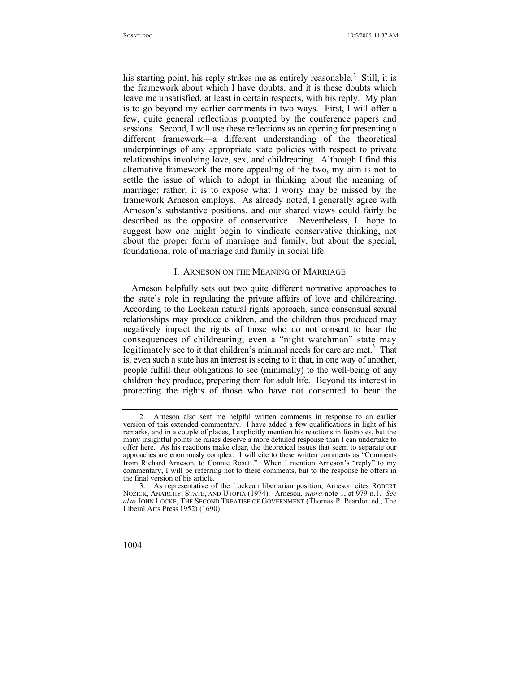his starting point, his reply strikes me as entirely reasonable.<sup>[2](#page-1-0)</sup> Still, it is the framework about which I have doubts, and it is these doubts which leave me unsatisfied, at least in certain respects, with his reply. My plan is to go beyond my earlier comments in two ways. First, I will offer a few, quite general reflections prompted by the conference papers and sessions. Second, I will use these reflections as an opening for presenting a different framework—a different understanding of the theoretical underpinnings of any appropriate state policies with respect to private relationships involving love, sex, and childrearing. Although I find this alternative framework the more appealing of the two, my aim is not to settle the issue of which to adopt in thinking about the meaning of marriage; rather, it is to expose what I worry may be missed by the framework Arneson employs. As already noted, I generally agree with Arneson's substantive positions, and our shared views could fairly be described as the opposite of conservative. Nevertheless, I hope to suggest how one might begin to vindicate conservative thinking, not about the proper form of marriage and family, but about the special, foundational role of marriage and family in social life.

#### I. ARNESON ON THE MEANING OF MARRIAGE

Arneson helpfully sets out two quite different normative approaches to the state's role in regulating the private affairs of love and childrearing. According to the Lockean natural rights approach, since consensual sexual relationships may produce children, and the children thus produced may negatively impact the rights of those who do not consent to bear the consequences of childrearing, even a "night watchman" state may legitimately see to it that children's minimal needs for care are met.<sup>3</sup> That is, even such a state has an interest is seeing to it that, in one way of another, people fulfill their obligations to see (minimally) to the well-being of any children they produce, preparing them for adult life. Beyond its interest in protecting the rights of those who have not consented to bear the

<span id="page-1-0"></span><sup>2.</sup> Arneson also sent me helpful written comments in response to an earlier version of this extended commentary. I have added a few qualifications in light of his remarks, and in a couple of places, I explicitly mention his reactions in footnotes, but the many insightful points he raises deserve a more detailed response than I can undertake to offer here. As his reactions make clear, the theoretical issues that seem to separate our approaches are enormously complex. I will cite to these written comments as "Comments from Richard Arneson, to Connie Rosati." When I mention Arneson's "reply" to my commentary, I will be referring not to these comments, but to the response he offers in the final version of his article.

<span id="page-1-1"></span><sup>3.</sup> As representative of the Lockean libertarian position, Arneson cites ROBERT NOZICK, ANARCHY, STATE, AND UTOPIA (1974). Arneson, *supra* note 1, at 979 n.1. *See also* JOHN LOCKE, THE SECOND TREATISE OF GOVERNMENT (Thomas P. Peardon ed., The Liberal Arts Press 1952) (1690).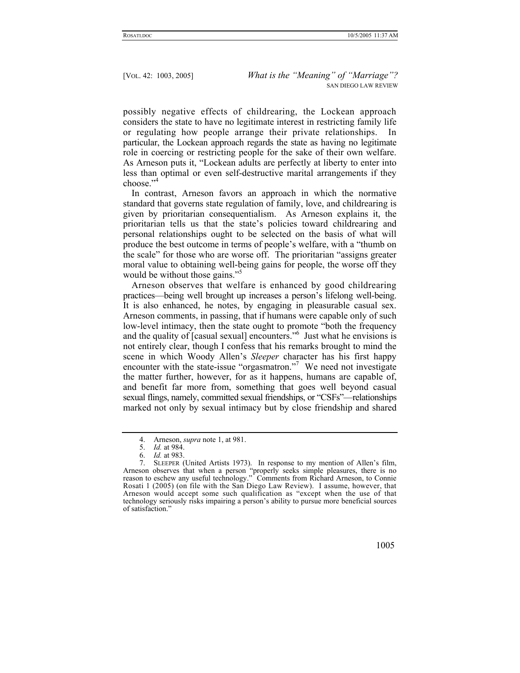possibly negative effects of childrearing, the Lockean approach considers the state to have no legitimate interest in restricting family life or regulating how people arrange their private relationships. In particular, the Lockean approach regards the state as having no legitimate role in coercing or restricting people for the sake of their own welfare. As Arneson puts it, "Lockean adults are perfectly at liberty to enter into less than optimal or even self-destructive marital arrangements if they choose.["4](#page-2-0)

In contrast, Arneson favors an approach in which the normative standard that governs state regulation of family, love, and childrearing is given by prioritarian consequentialism. As Arneson explains it, the prioritarian tells us that the state's policies toward childrearing and personal relationships ought to be selected on the basis of what will produce the best outcome in terms of people's welfare, with a "thumb on the scale" for those who are worse off. The prioritarian "assigns greater moral value to obtaining well-being gains for people, the worse off they would be without those gains."<sup>5</sup>

Arneson observes that welfare is enhanced by good childrearing practices—being well brought up increases a person's lifelong well-being. It is also enhanced, he notes, by engaging in pleasurable casual sex. Arneson comments, in passing, that if humans were capable only of such low-level intimacy, then the state ought to promote "both the frequency and the quality of [casual sexual] encounters.["6](#page-2-2) Just what he envisions is not entirely clear, though I confess that his remarks brought to mind the scene in which Woody Allen's *Sleeper* character has his first happy encounter with the state-issue "orgasmatron."<sup>[7](#page-2-3)</sup> We need not investigate the matter further, however, for as it happens, humans are capable of, and benefit far more from, something that goes well beyond casual sexual flings, namely, committed sexual friendships, or "CSFs"—relationships marked not only by sexual intimacy but by close friendship and shared

<sup>7.</sup> SLEEPER (United Artists 1973). In response to my mention of Allen's film, Arneson observes that when a person "properly seeks simple pleasures, there is no reason to eschew any useful technology." Comments from Richard Arneson, to Connie Rosati 1 (2005) (on file with the San Diego Law Review). I assume, however, that Arneson would accept some such qualification as "except when the use of that technology seriously risks impairing a person's ability to pursue more beneficial sources of satisfaction."



<span id="page-2-0"></span><sup>4.</sup> Arneson, *supra* note 1, at 981.

<span id="page-2-1"></span><sup>5.</sup> *Id.* at 984.

<span id="page-2-3"></span><span id="page-2-2"></span><sup>6.</sup> *Id.* at 983.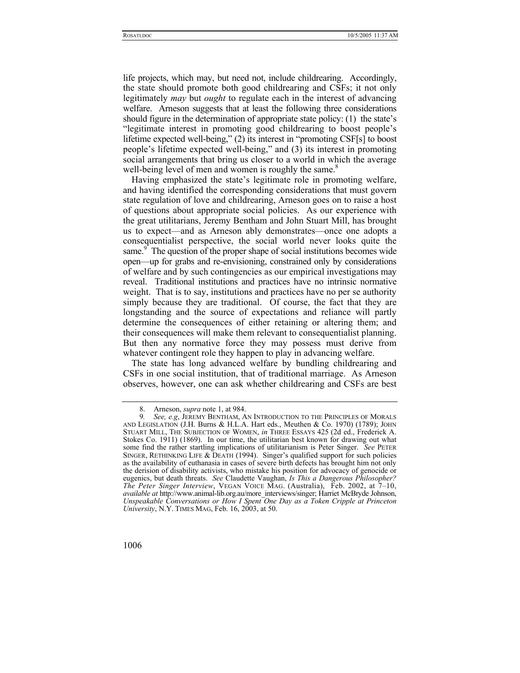life projects, which may, but need not, include childrearing. Accordingly, the state should promote both good childrearing and CSFs; it not only legitimately *may* but *ought* to regulate each in the interest of advancing welfare. Arneson suggests that at least the following three considerations should figure in the determination of appropriate state policy: (1) the state's "legitimate interest in promoting good childrearing to boost people's lifetime expected well-being," (2) its interest in "promoting CSF[s] to boost people's lifetime expected well-being," and (3) its interest in promoting social arrangements that bring us closer to a world in which the average well-being level of men and women is roughly the same.<sup>[8](#page-3-0)</sup>

Having emphasized the state's legitimate role in promoting welfare, and having identified the corresponding considerations that must govern state regulation of love and childrearing, Arneson goes on to raise a host of questions about appropriate social policies. As our experience with the great utilitarians, Jeremy Bentham and John Stuart Mill, has brought us to expect—and as Arneson ably demonstrates—once one adopts a consequentialist perspective, the social world never looks quite the same.<sup>9</sup> The question of the proper shape of social institutions becomes wide open—up for grabs and re-envisioning, constrained only by considerations of welfare and by such contingencies as our empirical investigations may reveal. Traditional institutions and practices have no intrinsic normative weight. That is to say, institutions and practices have no per se authority simply because they are traditional. Of course, the fact that they are longstanding and the source of expectations and reliance will partly determine the consequences of either retaining or altering them; and their consequences will make them relevant to consequentialist planning. But then any normative force they may possess must derive from whatever contingent role they happen to play in advancing welfare.

The state has long advanced welfare by bundling childrearing and CSFs in one social institution, that of traditional marriage. As Arneson observes, however, one can ask whether childrearing and CSFs are best

<span id="page-3-1"></span><span id="page-3-0"></span><sup>8.</sup> Arneson, *supra* note 1, at 984.<br>9. See e.g. JEREMY BENTHAM A

<sup>9</sup>*. See, e.g*, JEREMY BENTHAM, AN INTRODUCTION TO THE PRINCIPLES OF MORALS AND LEGISLATION (J.H. Burns & H.L.A. Hart eds., Meuthen & Co. 1970) (1789); JOHN STUART MILL, THE SUBJECTION OF WOMEN, *in* THREE ESSAYS 425 (2d ed., Frederick A. Stokes Co. 1911) (1869). In our time, the utilitarian best known for drawing out what some find the rather startling implications of utilitarianism is Peter Singer. *See* PETER SINGER, RETHINKING LIFE  $&$  DEATH (1994). Singer's qualified support for such policies as the availability of euthanasia in cases of severe birth defects has brought him not only the derision of disability activists, who mistake his position for advocacy of genocide or eugenics, but death threats. *See* Claudette Vaughan, *Is This a Dangerous Philosopher? The Peter Singer Interview*, VEGAN VOICE MAG. (Australia), Feb. 2002, at 7–10, *available at* http://www.animal-lib.org.au/more\_interviews/singer; Harriet McBryde Johnson, *Unspeakable Conversations or How I Spent One Day as a Token Cripple at Princeton University*, N.Y. TIMES MAG, Feb. 16, 2003, at 50.

<sup>1006</sup>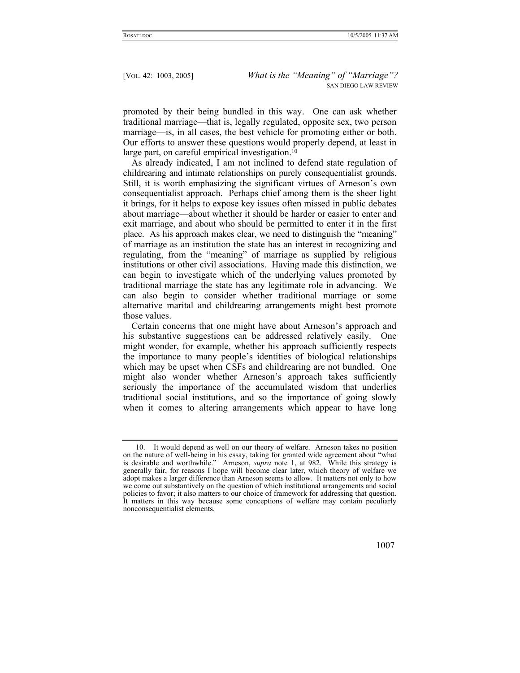promoted by their being bundled in this way. One can ask whether traditional marriage—that is, legally regulated, opposite sex, two person marriage—is, in all cases, the best vehicle for promoting either or both. Our efforts to answer these questions would properly depend, at least in large part, on careful empirical investigation.<sup>10</sup>

As already indicated, I am not inclined to defend state regulation of childrearing and intimate relationships on purely consequentialist grounds. Still, it is worth emphasizing the significant virtues of Arneson's own consequentialist approach. Perhaps chief among them is the sheer light it brings, for it helps to expose key issues often missed in public debates about marriage—about whether it should be harder or easier to enter and exit marriage, and about who should be permitted to enter it in the first place. As his approach makes clear, we need to distinguish the "meaning" of marriage as an institution the state has an interest in recognizing and regulating, from the "meaning" of marriage as supplied by religious institutions or other civil associations. Having made this distinction, we can begin to investigate which of the underlying values promoted by traditional marriage the state has any legitimate role in advancing. We can also begin to consider whether traditional marriage or some alternative marital and childrearing arrangements might best promote those values.

Certain concerns that one might have about Arneson's approach and his substantive suggestions can be addressed relatively easily. One might wonder, for example, whether his approach sufficiently respects the importance to many people's identities of biological relationships which may be upset when CSFs and childrearing are not bundled. One might also wonder whether Arneson's approach takes sufficiently seriously the importance of the accumulated wisdom that underlies traditional social institutions, and so the importance of going slowly when it comes to altering arrangements which appear to have long

<span id="page-4-0"></span><sup>10.</sup> It would depend as well on our theory of welfare. Arneson takes no position on the nature of well-being in his essay, taking for granted wide agreement about "what is desirable and worthwhile." Arneson, *supra* note 1, at 982. While this strategy is generally fair, for reasons I hope will become clear later, which theory of welfare we adopt makes a larger difference than Arneson seems to allow. It matters not only to how we come out substantively on the question of which institutional arrangements and social policies to favor; it also matters to our choice of framework for addressing that question. It matters in this way because some conceptions of welfare may contain peculiarly nonconsequentialist elements.

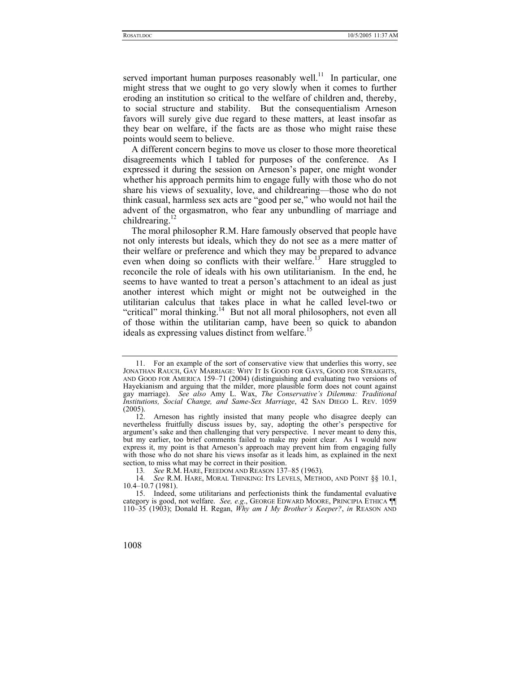served important human purposes reasonably well.<sup>11</sup> In particular, one might stress that we ought to go very slowly when it comes to further eroding an institution so critical to the welfare of children and, thereby, to social structure and stability. But the consequentialism Arneson favors will surely give due regard to these matters, at least insofar as they bear on welfare, if the facts are as those who might raise these points would seem to believe.

A different concern begins to move us closer to those more theoretical disagreements which I tabled for purposes of the conference. As I expressed it during the session on Arneson's paper, one might wonder whether his approach permits him to engage fully with those who do not share his views of sexuality, love, and childrearing—those who do not think casual, harmless sex acts are "good per se," who would not hail the advent of the orgasmatron, who fear any unbundling of marriage and childrearing.<sup>[12](#page-5-1)</sup>

The moral philosopher R.M. Hare famously observed that people have not only interests but ideals, which they do not see as a mere matter of their welfare or preference and which they may be prepared to advance even when doing so conflicts with their welfare.<sup>13</sup> Hare struggled to reconcile the role of ideals with his own utilitarianism. In the end, he seems to have wanted to treat a person's attachment to an ideal as just another interest which might or might not be outweighed in the utilitarian calculus that takes place in what he called level-two or "critical" moral thinking.<sup>14</sup> But not all moral philosophers, not even all of those within the utilitarian camp, have been so quick to abandon ideals as expressing values distinct from welfare.<sup>[15](#page-5-4)</sup>

<span id="page-5-3"></span><span id="page-5-2"></span>13*. See* R.M. HARE, FREEDOM AND REASON 137–85 (1963).

<span id="page-5-0"></span><sup>11.</sup> For an example of the sort of conservative view that underlies this worry, see JONATHAN RAUCH, GAY MARRIAGE: WHY IT IS GOOD FOR GAYS, GOOD FOR STRAIGHTS, AND GOOD FOR AMERICA 159–71 (2004) (distinguishing and evaluating two versions of Hayekianism and arguing that the milder, more plausible form does not count against gay marriage). *See also* Amy L. Wax, *The Conservative's Dilemma: Traditional Institutions, Social Change, and Same-Sex Marriage*, 42 SAN DIEGO L. REV. 1059 (2005).

<span id="page-5-1"></span><sup>12.</sup> Arneson has rightly insisted that many people who disagree deeply can nevertheless fruitfully discuss issues by, say, adopting the other's perspective for argument's sake and then challenging that very perspective. I never meant to deny this, but my earlier, too brief comments failed to make my point clear. As I would now express it, my point is that Arneson's approach may prevent him from engaging fully with those who do not share his views insofar as it leads him, as explained in the next section, to miss what may be correct in their position.

<sup>14</sup>*. See* R.M. HARE, MORAL THINKING: ITS LEVELS, METHOD, AND POINT §§ 10.1, 10.4–10.7 (1981).

<span id="page-5-4"></span><sup>15.</sup> Indeed, some utilitarians and perfectionists think the fundamental evaluative category is good, not welfare. *See, e.g*., GEORGE EDWARD MOORE, PRINCIPIA ETHICA ¶¶ 110–35 (1903); Donald H. Regan, *Why am I My Brother's Keeper?*, *in* REASON AND

<sup>1008</sup>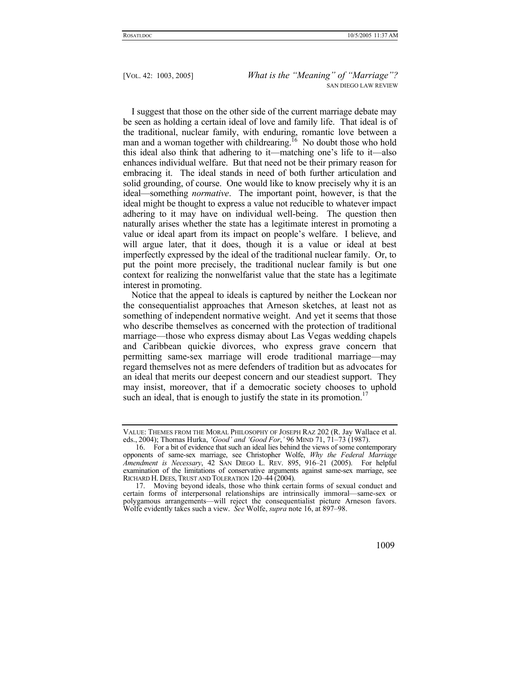I suggest that those on the other side of the current marriage debate may be seen as holding a certain ideal of love and family life. That ideal is of the traditional, nuclear family, with enduring, romantic love between a man and a woman together with childrearing.<sup>16</sup> No doubt those who hold this ideal also think that adhering to it—matching one's life to it—also enhances individual welfare. But that need not be their primary reason for embracing it. The ideal stands in need of both further articulation and solid grounding, of course. One would like to know precisely why it is an ideal—something *normative*. The important point, however, is that the ideal might be thought to express a value not reducible to whatever impact adhering to it may have on individual well-being. The question then naturally arises whether the state has a legitimate interest in promoting a value or ideal apart from its impact on people's welfare. I believe, and will argue later, that it does, though it is a value or ideal at best imperfectly expressed by the ideal of the traditional nuclear family. Or, to put the point more precisely, the traditional nuclear family is but one context for realizing the nonwelfarist value that the state has a legitimate interest in promoting.

Notice that the appeal to ideals is captured by neither the Lockean nor the consequentialist approaches that Arneson sketches, at least not as something of independent normative weight. And yet it seems that those who describe themselves as concerned with the protection of traditional marriage—those who express dismay about Las Vegas wedding chapels and Caribbean quickie divorces, who express grave concern that permitting same-sex marriage will erode traditional marriage—may regard themselves not as mere defenders of tradition but as advocates for an ideal that merits our deepest concern and our steadiest support. They may insist, moreover, that if a democratic society chooses to uphold such an ideal, that is enough to justify the state in its promotion.<sup>[17](#page-6-1)</sup>

VALUE: THEMES FROM THE MORAL PHILOSOPHY OF JOSEPH RAZ 202 (R. Jay Wallace et al. eds., 2004); Thomas Hurka, *'Good' and 'Good For*,*'* 96 MIND 71, 71–73 (1987).

<span id="page-6-0"></span><sup>16.</sup> For a bit of evidence that such an ideal lies behind the views of some contemporary opponents of same-sex marriage, see Christopher Wolfe, *Why the Federal Marriage Amendment is Necessary*, 42 SAN DIEGO L. REV. 895, 916–21 (2005). For helpful examination of the limitations of conservative arguments against same-sex marriage, see RICHARD H. DEES, TRUST AND TOLERATION 120-44 (2004).

<span id="page-6-1"></span><sup>17.</sup> Moving beyond ideals, those who think certain forms of sexual conduct and certain forms of interpersonal relationships are intrinsically immoral—same-sex or polygamous arrangements—will reject the consequentialist picture Arneson favors. Wolfe evidently takes such a view. *See* Wolfe, *supra* note 16, at 897–98.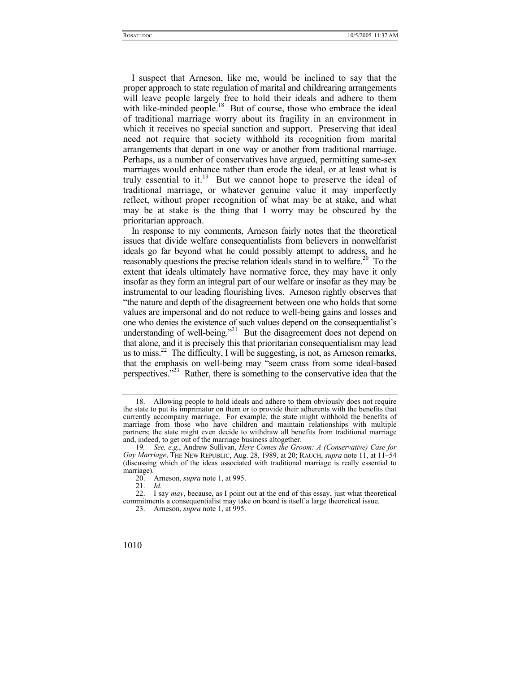I suspect that Arneson, like me, would be inclined to say that the proper approach to state regulation of marital and childrearing arrangements will leave people largely free to hold their ideals and adhere to them with like-minded people.<sup>18</sup> But of course, those who embrace the ideal of traditional marriage worry about its fragility in an environment in which it receives no special sanction and support. Preserving that ideal need not require that society withhold its recognition from marital arrangements that depart in one way or another from traditional marriage. Perhaps, as a number of conservatives have argued, permitting same-sex marriages would enhance rather than erode the ideal, or at least what is truly essential to it.<sup>19</sup> But we cannot hope to preserve the ideal of traditional marriage, or whatever genuine value it may imperfectly reflect, without proper recognition of what may be at stake, and what may be at stake is the thing that I worry may be obscured by the prioritarian approach.

In response to my comments, Arneson fairly notes that the theoretical issues that divide welfare consequentialists from believers in nonwelfarist ideals go far beyond what he could possibly attempt to address, and he reasonably questions the precise relation ideals stand in to welfare.<sup>20</sup> To the extent that ideals ultimately have normative force, they may have it only insofar as they form an integral part of our welfare or insofar as they may be instrumental to our leading flourishing lives. Arneson rightly observes that "the nature and depth of the disagreement between one who holds that some values are impersonal and do not reduce to well-being gains and losses and one who denies the existence of such values depend on the consequentialist's understanding of well-being."<sup>21</sup> But the disagreement does not depend on that alone, and it is precisely this that prioritarian consequentialism may lead us to miss.<sup>22</sup> The difficulty, I will be suggesting, is not, as Arneson remarks, that the emphasis on well-being may "seem crass from some ideal-based perspectives.["23](#page-7-5) Rather, there is something to the conservative idea that the

<span id="page-7-0"></span><sup>18.</sup> Allowing people to hold ideals and adhere to them obviously does not require the state to put its imprimatur on them or to provide their adherents with the benefits that currently accompany marriage. For example, the state might withhold the benefits of marriage from those who have children and maintain relationships with multiple partners; the state might even decide to withdraw all benefits from traditional marriage and, indeed, to get out of the marriage business altogether.

<span id="page-7-1"></span><sup>19</sup>*. See, e.g.*, Andrew Sullivan, *Here Comes the Groom: A (Conservative) Case for Gay Marriage*, THE NEW REPUBLIC, Aug. 28, 1989, at 20; RAUCH, *supra* note 11, at 11–54 (discussing which of the ideas associated with traditional marriage is really essential to marriage).

<span id="page-7-2"></span><sup>20.</sup> Arneson, *supra* note 1, at 995.

<span id="page-7-4"></span><span id="page-7-3"></span><sup>21.</sup> *Id.*

<sup>22.</sup> I say *may*, because, as I point out at the end of this essay, just what theoretical commitments a consequentialist may take on board is itself a large theoretical issue.

<span id="page-7-5"></span><sup>23.</sup> Arneson, *supra* note 1, at 995.

<sup>1010</sup>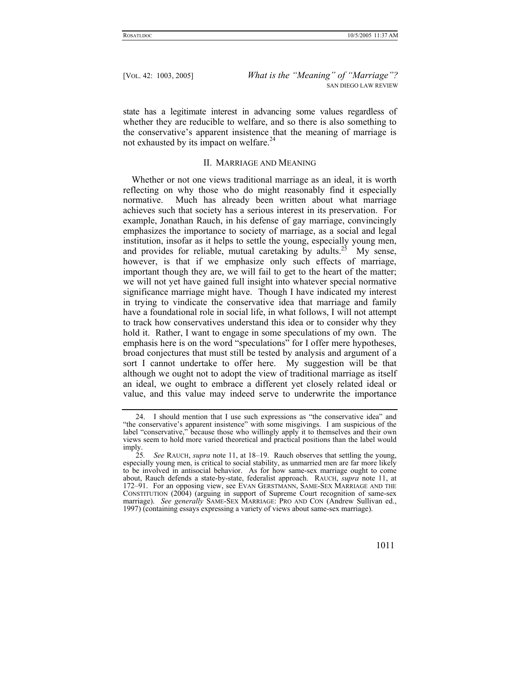state has a legitimate interest in advancing some values regardless of whether they are reducible to welfare, and so there is also something to the conservative's apparent insistence that the meaning of marriage is not exhausted by its impact on welfare.<sup>24</sup>

## II. MARRIAGE AND MEANING

Whether or not one views traditional marriage as an ideal, it is worth reflecting on why those who do might reasonably find it especially normative. Much has already been written about what marriage achieves such that society has a serious interest in its preservation. For example, Jonathan Rauch, in his defense of gay marriage, convincingly emphasizes the importance to society of marriage, as a social and legal institution, insofar as it helps to settle the young, especially young men, and provides for reliable, mutual caretaking by adults.<sup>25</sup> My sense, however, is that if we emphasize only such effects of marriage, important though they are, we will fail to get to the heart of the matter; we will not yet have gained full insight into whatever special normative significance marriage might have. Though I have indicated my interest in trying to vindicate the conservative idea that marriage and family have a foundational role in social life, in what follows, I will not attempt to track how conservatives understand this idea or to consider why they hold it. Rather, I want to engage in some speculations of my own. The emphasis here is on the word "speculations" for I offer mere hypotheses, broad conjectures that must still be tested by analysis and argument of a sort I cannot undertake to offer here. My suggestion will be that although we ought not to adopt the view of traditional marriage as itself an ideal, we ought to embrace a different yet closely related ideal or value, and this value may indeed serve to underwrite the importance

<span id="page-8-1"></span><sup>25</sup>*. See* RAUCH, *supra* note 11, at 18–19. Rauch observes that settling the young, especially young men, is critical to social stability, as unmarried men are far more likely to be involved in antisocial behavior. As for how same-sex marriage ought to come about, Rauch defends a state-by-state, federalist approach. RAUCH, *supra* note 11, at 172–91. For an opposing view, see EVAN GERSTMANN, SAME-SEX MARRIAGE AND THE CONSTITUTION (2004) (arguing in support of Supreme Court recognition of same-sex marriage). *See generally* SAME-SEX MARRIAGE: PRO AND CON (Andrew Sullivan ed., 1997) (containing essays expressing a variety of views about same-sex marriage).



<span id="page-8-0"></span><sup>24.</sup> I should mention that I use such expressions as "the conservative idea" and "the conservative's apparent insistence" with some misgivings. I am suspicious of the label "conservative," because those who willingly apply it to themselves and their own views seem to hold more varied theoretical and practical positions than the label would  $\frac{\text{imply}}{25}$ .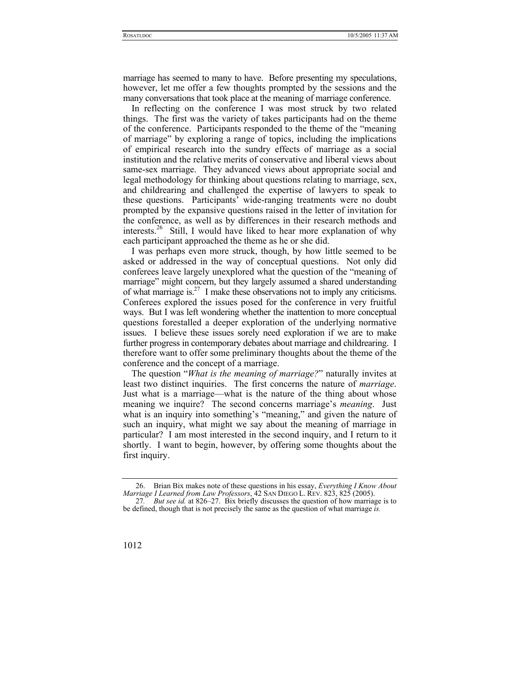marriage has seemed to many to have. Before presenting my speculations, however, let me offer a few thoughts prompted by the sessions and the many conversations that took place at the meaning of marriage conference.

In reflecting on the conference I was most struck by two related things. The first was the variety of takes participants had on the theme of the conference. Participants responded to the theme of the "meaning of marriage" by exploring a range of topics, including the implications of empirical research into the sundry effects of marriage as a social institution and the relative merits of conservative and liberal views about same-sex marriage. They advanced views about appropriate social and legal methodology for thinking about questions relating to marriage, sex, and childrearing and challenged the expertise of lawyers to speak to these questions. Participants' wide-ranging treatments were no doubt prompted by the expansive questions raised in the letter of invitation for the conference, as well as by differences in their research methods and interests.<sup>26</sup> Still, I would have liked to hear more explanation of why each participant approached the theme as he or she did.

I was perhaps even more struck, though, by how little seemed to be asked or addressed in the way of conceptual questions. Not only did conferees leave largely unexplored what the question of the "meaning of marriage" might concern, but they largely assumed a shared understanding of what marriage is. $27 \text{ I make these observations not to imply any criticism.}$ Conferees explored the issues posed for the conference in very fruitful ways. But I was left wondering whether the inattention to more conceptual questions forestalled a deeper exploration of the underlying normative issues. I believe these issues sorely need exploration if we are to make further progress in contemporary debates about marriage and childrearing. I therefore want to offer some preliminary thoughts about the theme of the conference and the concept of a marriage.

The question "*What is the meaning of marriage?*" naturally invites at least two distinct inquiries. The first concerns the nature of *marriage*. Just what is a marriage—what is the nature of the thing about whose meaning we inquire? The second concerns marriage's *meaning*. Just what is an inquiry into something's "meaning," and given the nature of such an inquiry, what might we say about the meaning of marriage in particular? I am most interested in the second inquiry, and I return to it shortly. I want to begin, however, by offering some thoughts about the first inquiry.

<span id="page-9-0"></span><sup>26.</sup> Brian Bix makes note of these questions in his essay, *Everything I Know About Marriage I Learned from Law Professors*, 42 SAN DIEGO L. REV. 823, 825 (2005).

<span id="page-9-1"></span><sup>27</sup>*. But see id.* at 826–27. Bix briefly discusses the question of how marriage is to be defined, though that is not precisely the same as the question of what marriage *is.*

<sup>1012</sup>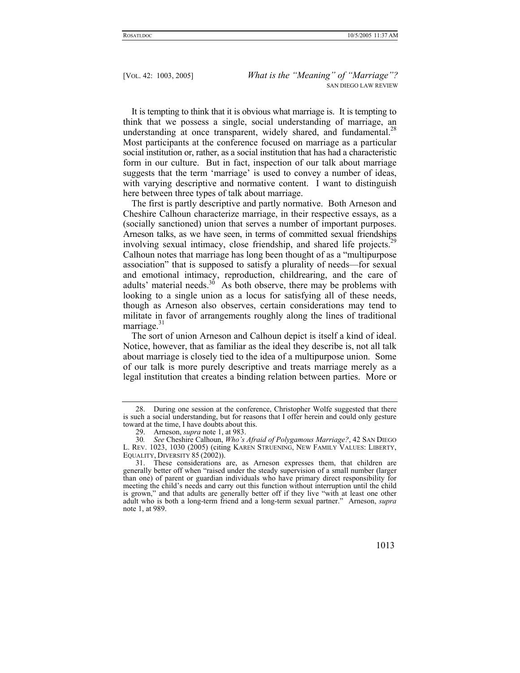It is tempting to think that it is obvious what marriage is. It is tempting to think that we possess a single, social understanding of marriage, an understanding at once transparent, widely shared, and fundamental. $^{28}$ Most participants at the conference focused on marriage as a particular social institution or, rather, as a social institution that has had a characteristic form in our culture. But in fact, inspection of our talk about marriage suggests that the term 'marriage' is used to convey a number of ideas, with varying descriptive and normative content. I want to distinguish here between three types of talk about marriage.

The first is partly descriptive and partly normative. Both Arneson and Cheshire Calhoun characterize marriage, in their respective essays, as a (socially sanctioned) union that serves a number of important purposes. Arneson talks, as we have seen, in terms of committed sexual friendships involving sexual intimacy, close friendship, and shared life projects.<sup>2</sup> Calhoun notes that marriage has long been thought of as a "multipurpose association" that is supposed to satisfy a plurality of needs—for sexual and emotional intimacy, reproduction, childrearing, and the care of adults' material needs. $30^{3}$  As both observe, there may be problems with looking to a single union as a locus for satisfying all of these needs, though as Arneson also observes, certain considerations may tend to militate in favor of arrangements roughly along the lines of traditional marriage. $31$ 

The sort of union Arneson and Calhoun depict is itself a kind of ideal. Notice, however, that as familiar as the ideal they describe is, not all talk about marriage is closely tied to the idea of a multipurpose union. Some of our talk is more purely descriptive and treats marriage merely as a legal institution that creates a binding relation between parties. More or

<span id="page-10-0"></span><sup>28.</sup> During one session at the conference, Christopher Wolfe suggested that there is such a social understanding, but for reasons that I offer herein and could only gesture toward at the time, I have doubts about this.

<span id="page-10-2"></span><span id="page-10-1"></span><sup>29.</sup> Arneson, *supra* note 1, at 983.<br>30. See Cheshire Calhoun, *Who's* 

<sup>30</sup>*. See* Cheshire Calhoun, *Who's Afraid of Polygamous Marriage?*, 42 SAN DIEGO L. REV. 1023, 1030 (2005) (citing KAREN STRUENING, NEW FAMILY VALUES: LIBERTY, EQUALITY, DIVERSITY 85 (2002)).

<span id="page-10-3"></span><sup>31.</sup> These considerations are, as Arneson expresses them, that children are generally better off when "raised under the steady supervision of a small number (larger than one) of parent or guardian individuals who have primary direct responsibility for meeting the child's needs and carry out this function without interruption until the child is grown," and that adults are generally better off if they live "with at least one other adult who is both a long-term friend and a long-term sexual partner." Arneson, *supra* note 1, at 989.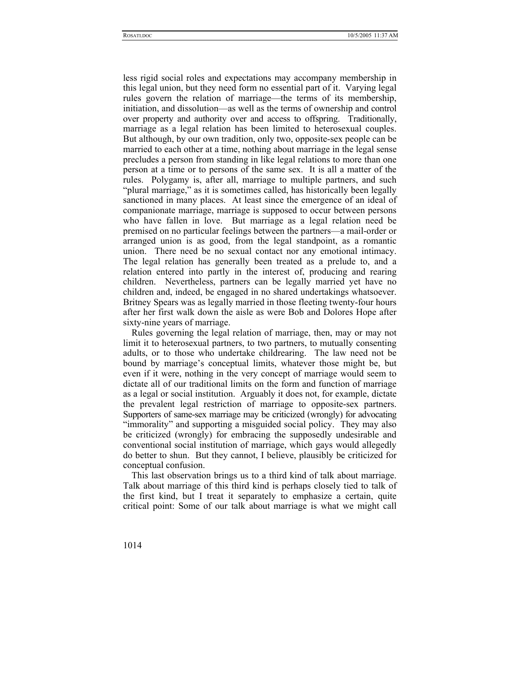less rigid social roles and expectations may accompany membership in this legal union, but they need form no essential part of it. Varying legal rules govern the relation of marriage—the terms of its membership, initiation, and dissolution—as well as the terms of ownership and control over property and authority over and access to offspring. Traditionally, marriage as a legal relation has been limited to heterosexual couples. But although, by our own tradition, only two, opposite-sex people can be married to each other at a time, nothing about marriage in the legal sense precludes a person from standing in like legal relations to more than one person at a time or to persons of the same sex. It is all a matter of the rules. Polygamy is, after all, marriage to multiple partners, and such "plural marriage," as it is sometimes called, has historically been legally sanctioned in many places. At least since the emergence of an ideal of companionate marriage, marriage is supposed to occur between persons who have fallen in love. But marriage as a legal relation need be premised on no particular feelings between the partners—a mail-order or arranged union is as good, from the legal standpoint, as a romantic union. There need be no sexual contact nor any emotional intimacy. The legal relation has generally been treated as a prelude to, and a relation entered into partly in the interest of, producing and rearing children. Nevertheless, partners can be legally married yet have no children and, indeed, be engaged in no shared undertakings whatsoever. Britney Spears was as legally married in those fleeting twenty-four hours after her first walk down the aisle as were Bob and Dolores Hope after sixty-nine years of marriage.

Rules governing the legal relation of marriage, then, may or may not limit it to heterosexual partners, to two partners, to mutually consenting adults, or to those who undertake childrearing. The law need not be bound by marriage's conceptual limits, whatever those might be, but even if it were, nothing in the very concept of marriage would seem to dictate all of our traditional limits on the form and function of marriage as a legal or social institution. Arguably it does not, for example, dictate the prevalent legal restriction of marriage to opposite-sex partners. Supporters of same-sex marriage may be criticized (wrongly) for advocating "immorality" and supporting a misguided social policy. They may also be criticized (wrongly) for embracing the supposedly undesirable and conventional social institution of marriage, which gays would allegedly do better to shun. But they cannot, I believe, plausibly be criticized for conceptual confusion.

This last observation brings us to a third kind of talk about marriage. Talk about marriage of this third kind is perhaps closely tied to talk of the first kind, but I treat it separately to emphasize a certain, quite critical point: Some of our talk about marriage is what we might call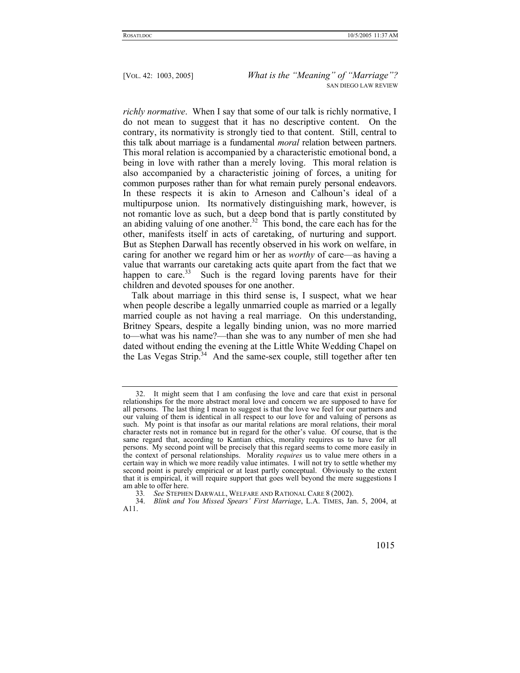*richly normative*. When I say that some of our talk is richly normative, I do not mean to suggest that it has no descriptive content. On the contrary, its normativity is strongly tied to that content. Still, central to this talk about marriage is a fundamental *moral* relation between partners. This moral relation is accompanied by a characteristic emotional bond, a being in love with rather than a merely loving. This moral relation is also accompanied by a characteristic joining of forces, a uniting for common purposes rather than for what remain purely personal endeavors. In these respects it is akin to Arneson and Calhoun's ideal of a multipurpose union. Its normatively distinguishing mark, however, is not romantic love as such, but a deep bond that is partly constituted by an abiding valuing of one another.<sup>32</sup> This bond, the care each has for the other, manifests itself in acts of caretaking, of nurturing and support. But as Stephen Darwall has recently observed in his work on welfare, in caring for another we regard him or her as *worthy* of care—as having a value that warrants our caretaking acts quite apart from the fact that we happen to care.<sup>33</sup> Such is the regard loving parents have for their children and devoted spouses for one another.

Talk about marriage in this third sense is, I suspect, what we hear when people describe a legally unmarried couple as married or a legally married couple as not having a real marriage. On this understanding, Britney Spears, despite a legally binding union, was no more married to—what was his name?—than she was to any number of men she had dated without ending the evening at the Little White Wedding Chapel on the Las Vegas Strip.<sup>34</sup> And the same-sex couple, still together after ten

<sup>34.</sup> *Blink and You Missed Spears' First Marriage*, L.A. TIMES, Jan. 5, 2004, at A11.



<span id="page-12-0"></span><sup>32.</sup> It might seem that I am confusing the love and care that exist in personal relationships for the more abstract moral love and concern we are supposed to have for all persons. The last thing I mean to suggest is that the love we feel for our partners and our valuing of them is identical in all respect to our love for and valuing of persons as such. My point is that insofar as our marital relations are moral relations, their moral character rests not in romance but in regard for the other's value. Of course, that is the same regard that, according to Kantian ethics, morality requires us to have for all persons. My second point will be precisely that this regard seems to come more easily in the context of personal relationships. Morality *requires* us to value mere others in a certain way in which we more readily value intimates. I will not try to settle whether my second point is purely empirical or at least partly conceptual. Obviously to the extent that it is empirical, it will require support that goes well beyond the mere suggestions I am able to offer here.<br>33. See STEPHE

<span id="page-12-2"></span><span id="page-12-1"></span><sup>33</sup>*. See* STEPHEN DARWALL, WELFARE AND RATIONAL CARE 8 (2002).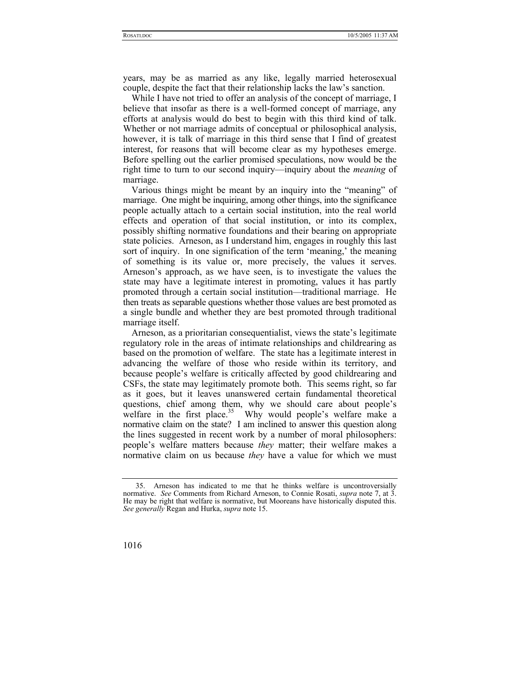years, may be as married as any like, legally married heterosexual couple, despite the fact that their relationship lacks the law's sanction.

While I have not tried to offer an analysis of the concept of marriage, I believe that insofar as there is a well-formed concept of marriage, any efforts at analysis would do best to begin with this third kind of talk. Whether or not marriage admits of conceptual or philosophical analysis, however, it is talk of marriage in this third sense that I find of greatest interest, for reasons that will become clear as my hypotheses emerge. Before spelling out the earlier promised speculations, now would be the right time to turn to our second inquiry—inquiry about the *meaning* of marriage.

Various things might be meant by an inquiry into the "meaning" of marriage. One might be inquiring, among other things, into the significance people actually attach to a certain social institution, into the real world effects and operation of that social institution, or into its complex, possibly shifting normative foundations and their bearing on appropriate state policies. Arneson, as I understand him, engages in roughly this last sort of inquiry. In one signification of the term 'meaning,' the meaning of something is its value or, more precisely, the values it serves. Arneson's approach, as we have seen, is to investigate the values the state may have a legitimate interest in promoting, values it has partly promoted through a certain social institution—traditional marriage. He then treats as separable questions whether those values are best promoted as a single bundle and whether they are best promoted through traditional marriage itself.

Arneson, as a prioritarian consequentialist, views the state's legitimate regulatory role in the areas of intimate relationships and childrearing as based on the promotion of welfare. The state has a legitimate interest in advancing the welfare of those who reside within its territory, and because people's welfare is critically affected by good childrearing and CSFs, the state may legitimately promote both. This seems right, so far as it goes, but it leaves unanswered certain fundamental theoretical questions, chief among them, why we should care about people's welfare in the first place.<sup>35</sup> Why would people's welfare make a normative claim on the state? I am inclined to answer this question along the lines suggested in recent work by a number of moral philosophers: people's welfare matters because *they* matter; their welfare makes a normative claim on us because *they* have a value for which we must

<span id="page-13-0"></span><sup>35.</sup> Arneson has indicated to me that he thinks welfare is uncontroversially normative. *See* Comments from Richard Arneson, to Connie Rosati, *supra* note 7, at 3. He may be right that welfare is normative, but Mooreans have historically disputed this. *See generally* Regan and Hurka, *supra* note 15.

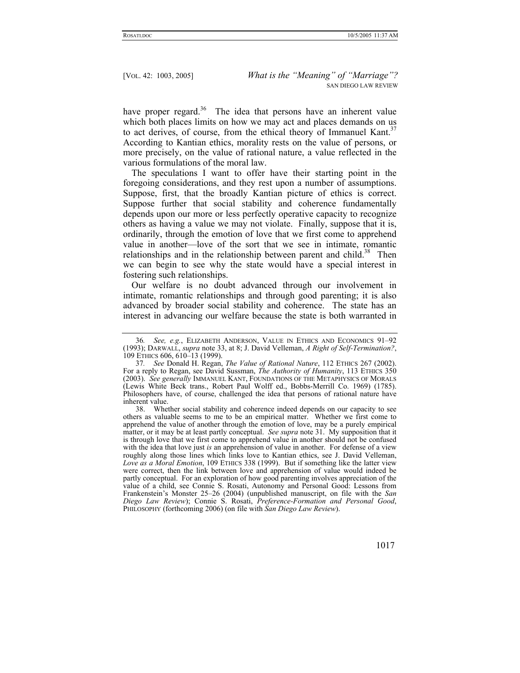have proper regard.<sup>36</sup> The idea that persons have an inherent value which both places limits on how we may act and places demands on us to act derives, of course, from the ethical theory of Immanuel Kant.<sup>37</sup> According to Kantian ethics, morality rests on the value of persons, or more precisely, on the value of rational nature, a value reflected in the various formulations of the moral law.

The speculations I want to offer have their starting point in the foregoing considerations, and they rest upon a number of assumptions. Suppose, first, that the broadly Kantian picture of ethics is correct. Suppose further that social stability and coherence fundamentally depends upon our more or less perfectly operative capacity to recognize others as having a value we may not violate. Finally, suppose that it is, ordinarily, through the emotion of love that we first come to apprehend value in another—love of the sort that we see in intimate, romantic relationships and in the relationship between parent and child.<sup>38</sup> Then we can begin to see why the state would have a special interest in fostering such relationships.

Our welfare is no doubt advanced through our involvement in intimate, romantic relationships and through good parenting; it is also advanced by broader social stability and coherence. The state has an interest in advancing our welfare because the state is both warranted in

<span id="page-14-2"></span><sup>38.</sup> Whether social stability and coherence indeed depends on our capacity to see others as valuable seems to me to be an empirical matter. Whether we first come to apprehend the value of another through the emotion of love, may be a purely empirical matter, or it may be at least partly conceptual. *See supra* note 31. My supposition that it is through love that we first come to apprehend value in another should not be confused with the idea that love just *is* an apprehension of value in another. For defense of a view roughly along those lines which links love to Kantian ethics, see J. David Velleman, *Love as a Moral Emotion*, 109 ETHICS 338 (1999). But if something like the latter view were correct, then the link between love and apprehension of value would indeed be partly conceptual. For an exploration of how good parenting involves appreciation of the value of a child, see Connie S. Rosati, Autonomy and Personal Good: Lessons from Frankenstein's Monster 25–26 (2004) (unpublished manuscript, on file with the *San Diego Law Review*); Connie S. Rosati, *Preference-Formation and Personal Good*, PHILOSOPHY (forthcoming 2006) (on file with *San Diego Law Review*).



<span id="page-14-0"></span><sup>36</sup>*. See, e.g.*, ELIZABETH ANDERSON, VALUE IN ETHICS AND ECONOMICS 91–92 (1993); DARWALL, *supra* note 33, at 8; J. David Velleman, *A Right of Self-Termination?*, 109 ETHICS 606, 610–13 (1999).

<span id="page-14-1"></span><sup>37</sup>*. See* Donald H. Regan, *The Value of Rational Nature*, 112 ETHICS 267 (2002). For a reply to Regan, see David Sussman, *The Authority of Humanity*, 113 ETHICS 350 (2003). *See generally* IMMANUEL KANT, FOUNDATIONS OF THE METAPHYSICS OF MORALS (Lewis White Beck trans., Robert Paul Wolff ed., Bobbs-Merrill Co. 1969) (1785). Philosophers have, of course, challenged the idea that persons of rational nature have inherent value.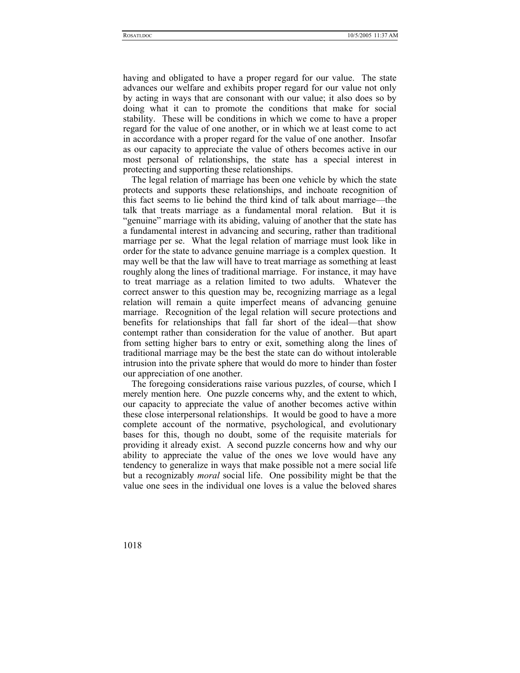having and obligated to have a proper regard for our value. The state advances our welfare and exhibits proper regard for our value not only by acting in ways that are consonant with our value; it also does so by doing what it can to promote the conditions that make for social stability. These will be conditions in which we come to have a proper regard for the value of one another, or in which we at least come to act in accordance with a proper regard for the value of one another. Insofar as our capacity to appreciate the value of others becomes active in our most personal of relationships, the state has a special interest in protecting and supporting these relationships.

The legal relation of marriage has been one vehicle by which the state protects and supports these relationships, and inchoate recognition of this fact seems to lie behind the third kind of talk about marriage—the talk that treats marriage as a fundamental moral relation. But it is "genuine" marriage with its abiding, valuing of another that the state has a fundamental interest in advancing and securing, rather than traditional marriage per se. What the legal relation of marriage must look like in order for the state to advance genuine marriage is a complex question. It may well be that the law will have to treat marriage as something at least roughly along the lines of traditional marriage. For instance, it may have to treat marriage as a relation limited to two adults. Whatever the correct answer to this question may be, recognizing marriage as a legal relation will remain a quite imperfect means of advancing genuine marriage. Recognition of the legal relation will secure protections and benefits for relationships that fall far short of the ideal—that show contempt rather than consideration for the value of another. But apart from setting higher bars to entry or exit, something along the lines of traditional marriage may be the best the state can do without intolerable intrusion into the private sphere that would do more to hinder than foster our appreciation of one another.

The foregoing considerations raise various puzzles, of course, which I merely mention here. One puzzle concerns why, and the extent to which, our capacity to appreciate the value of another becomes active within these close interpersonal relationships. It would be good to have a more complete account of the normative, psychological, and evolutionary bases for this, though no doubt, some of the requisite materials for providing it already exist. A second puzzle concerns how and why our ability to appreciate the value of the ones we love would have any tendency to generalize in ways that make possible not a mere social life but a recognizably *moral* social life. One possibility might be that the value one sees in the individual one loves is a value the beloved shares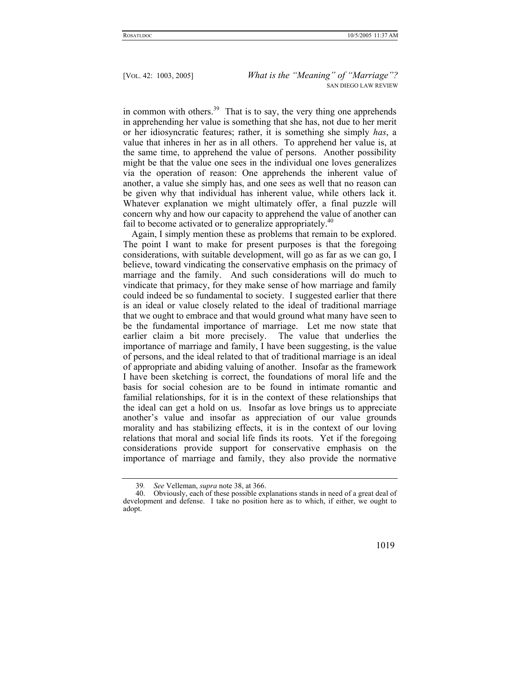in common with others. $39$  That is to say, the very thing one apprehends in apprehending her value is something that she has, not due to her merit or her idiosyncratic features; rather, it is something she simply *has*, a value that inheres in her as in all others. To apprehend her value is, at the same time, to apprehend the value of persons. Another possibility might be that the value one sees in the individual one loves generalizes via the operation of reason: One apprehends the inherent value of another, a value she simply has, and one sees as well that no reason can be given why that individual has inherent value, while others lack it. Whatever explanation we might ultimately offer, a final puzzle will concern why and how our capacity to apprehend the value of another can fail to become activated or to generalize appropriately.<sup>[40](#page-16-1)</sup>

Again, I simply mention these as problems that remain to be explored. The point I want to make for present purposes is that the foregoing considerations, with suitable development, will go as far as we can go, I believe, toward vindicating the conservative emphasis on the primacy of marriage and the family. And such considerations will do much to vindicate that primacy, for they make sense of how marriage and family could indeed be so fundamental to society. I suggested earlier that there is an ideal or value closely related to the ideal of traditional marriage that we ought to embrace and that would ground what many have seen to be the fundamental importance of marriage. Let me now state that earlier claim a bit more precisely. The value that underlies the importance of marriage and family, I have been suggesting, is the value of persons, and the ideal related to that of traditional marriage is an ideal of appropriate and abiding valuing of another. Insofar as the framework I have been sketching is correct, the foundations of moral life and the basis for social cohesion are to be found in intimate romantic and familial relationships, for it is in the context of these relationships that the ideal can get a hold on us. Insofar as love brings us to appreciate another's value and insofar as appreciation of our value grounds morality and has stabilizing effects, it is in the context of our loving relations that moral and social life finds its roots. Yet if the foregoing considerations provide support for conservative emphasis on the importance of marriage and family, they also provide the normative

<sup>40.</sup> Obviously, each of these possible explanations stands in need of a great deal of development and defense. I take no position here as to which, if either, we ought to adopt.



<span id="page-16-1"></span><span id="page-16-0"></span><sup>39</sup>*. See* Velleman, *supra* note 38, at 366.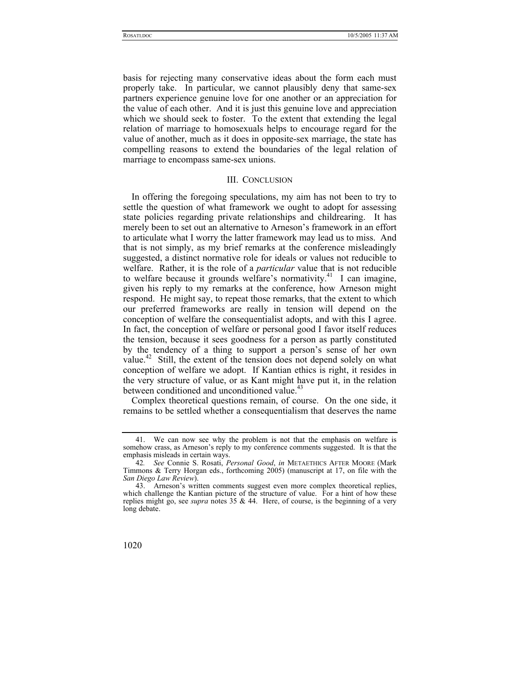basis for rejecting many conservative ideas about the form each must properly take. In particular, we cannot plausibly deny that same-sex partners experience genuine love for one another or an appreciation for the value of each other. And it is just this genuine love and appreciation which we should seek to foster. To the extent that extending the legal relation of marriage to homosexuals helps to encourage regard for the value of another, much as it does in opposite-sex marriage, the state has compelling reasons to extend the boundaries of the legal relation of marriage to encompass same-sex unions.

### III. CONCLUSION

In offering the foregoing speculations, my aim has not been to try to settle the question of what framework we ought to adopt for assessing state policies regarding private relationships and childrearing. It has merely been to set out an alternative to Arneson's framework in an effort to articulate what I worry the latter framework may lead us to miss. And that is not simply, as my brief remarks at the conference misleadingly suggested, a distinct normative role for ideals or values not reducible to welfare. Rather, it is the role of a *particular* value that is not reducible to welfare because it grounds welfare's normativity.<sup>41</sup> I can imagine, given his reply to my remarks at the conference, how Arneson might respond. He might say, to repeat those remarks, that the extent to which our preferred frameworks are really in tension will depend on the conception of welfare the consequentialist adopts, and with this I agree. In fact, the conception of welfare or personal good I favor itself reduces the tension, because it sees goodness for a person as partly constituted by the tendency of a thing to support a person's sense of her own value.<sup>42</sup> Still, the extent of the tension does not depend solely on what conception of welfare we adopt. If Kantian ethics is right, it resides in the very structure of value, or as Kant might have put it, in the relation between conditioned and unconditioned value.<sup>43</sup>

Complex theoretical questions remain, of course. On the one side, it remains to be settled whether a consequentialism that deserves the name

<span id="page-17-0"></span><sup>41.</sup> We can now see why the problem is not that the emphasis on welfare is somehow crass, as Arneson's reply to my conference comments suggested. It is that the emphasis misleads in certain ways.

<span id="page-17-1"></span><sup>42</sup>*. See* Connie S. Rosati, *Personal Good*, *in* METAETHICS AFTER MOORE (Mark Timmons & Terry Horgan eds., forthcoming 2005) (manuscript at 17, on file with the *San Diego Law Review*).

<span id="page-17-2"></span><sup>43.</sup> Arneson's written comments suggest even more complex theoretical replies, which challenge the Kantian picture of the structure of value. For a hint of how these replies might go, see *supra* notes 35 & 44. Here, of course, is the beginning of a very long debate.